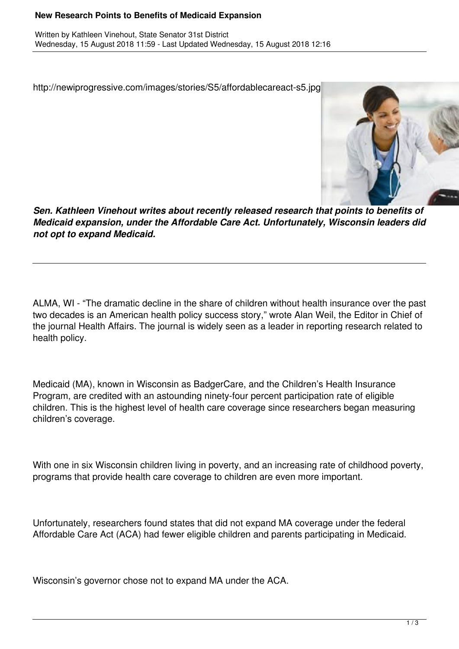## **New Research Points to Benefits of Medicaid Expansion**

http://newiprogressive.com/images/stories/S5/affordablecareact-s5.jpg



*Sen. Kathleen Vinehout writes about recently released research that points to benefits of Medicaid expansion, under the Affordable Care Act. Unfortunately, Wisconsin leaders did not opt to expand Medicaid.*

ALMA, WI - "The dramatic decline in the share of children without health insurance over the past two decades is an American health policy success story," wrote Alan Weil, the Editor in Chief of the journal Health Affairs. The journal is widely seen as a leader in reporting research related to health policy.

Medicaid (MA), known in Wisconsin as BadgerCare, and the Children's Health Insurance Program, are credited with an astounding ninety-four percent participation rate of eligible children. This is the highest level of health care coverage since researchers began measuring children's coverage.

With one in six Wisconsin children living in poverty, and an increasing rate of childhood poverty, programs that provide health care coverage to children are even more important.

Unfortunately, researchers found states that did not expand MA coverage under the federal Affordable Care Act (ACA) had fewer eligible children and parents participating in Medicaid.

Wisconsin's governor chose not to expand MA under the ACA.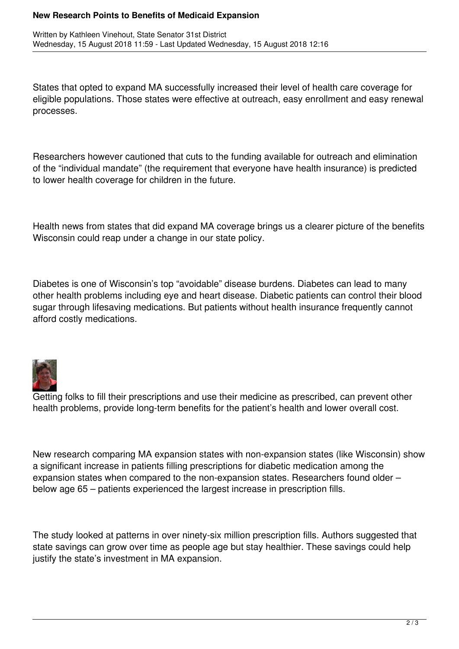## **New Research Points to Benefits of Medicaid Expansion**

States that opted to expand MA successfully increased their level of health care coverage for eligible populations. Those states were effective at outreach, easy enrollment and easy renewal processes.

Researchers however cautioned that cuts to the funding available for outreach and elimination of the "individual mandate" (the requirement that everyone have health insurance) is predicted to lower health coverage for children in the future.

Health news from states that did expand MA coverage brings us a clearer picture of the benefits Wisconsin could reap under a change in our state policy.

Diabetes is one of Wisconsin's top "avoidable" disease burdens. Diabetes can lead to many other health problems including eye and heart disease. Diabetic patients can control their blood sugar through lifesaving medications. But patients without health insurance frequently cannot afford costly medications.



Getting folks to fill their prescriptions and use their medicine as prescribed, can prevent other health problems, provide long-term benefits for the patient's health and lower overall cost.

New research comparing MA expansion states with non-expansion states (like Wisconsin) show a significant increase in patients filling prescriptions for diabetic medication among the expansion states when compared to the non-expansion states. Researchers found older – below age 65 – patients experienced the largest increase in prescription fills.

The study looked at patterns in over ninety-six million prescription fills. Authors suggested that state savings can grow over time as people age but stay healthier. These savings could help justify the state's investment in MA expansion.